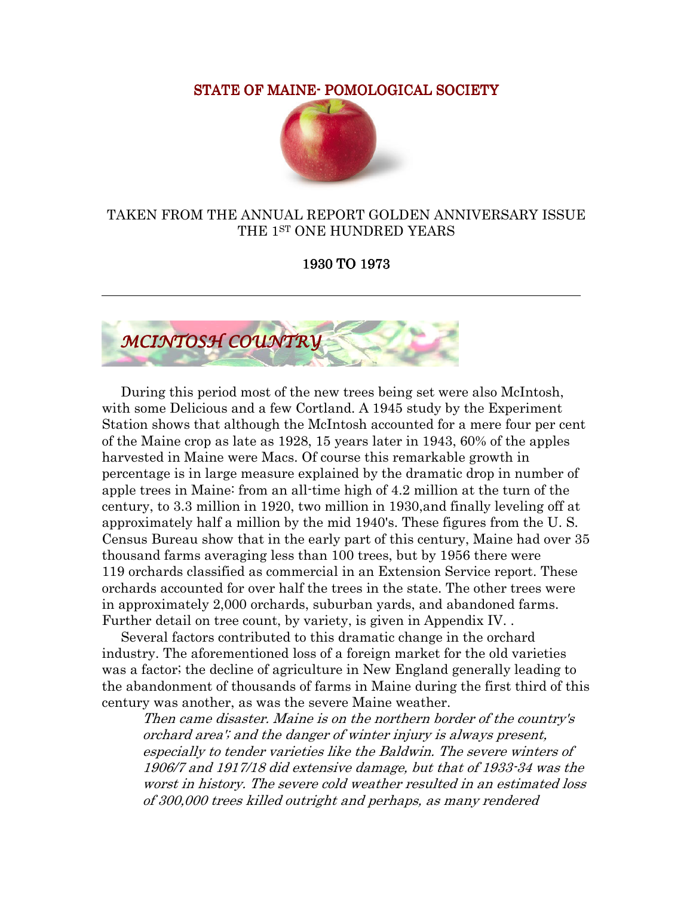STATE OF MAINE- POMOLOGICAL SOCIETY



## TAKEN FROM THE ANNUAL REPORT GOLDEN ANNIVERSARY ISSUE THE 1ST ONE HUNDRED YEARS

1930 TO 1973



 During this period most of the new trees being set were also McIntosh, with some Delicious and a few Cortland. A 1945 study by the Experiment Station shows that although the McIntosh accounted for a mere four per cent of the Maine crop as late as 1928, 15 years later in 1943, 60% of the apples harvested in Maine were Macs. Of course this remarkable growth in percentage is in large measure explained by the dramatic drop in number of apple trees in Maine: from an all-time high of 4.2 million at the turn of the century, to 3.3 million in 1920, two million in 1930,and finally leveling off at approximately half a million by the mid 1940's. These figures from the U. S. Census Bureau show that in the early part of this century, Maine had over 35 thousand farms averaging less than 100 trees, but by 1956 there were 119 orchards classified as commercial in an Extension Service report. These orchards accounted for over half the trees in the state. The other trees were in approximately 2,000 orchards, suburban yards, and abandoned farms. Further detail on tree count, by variety, is given in Appendix IV. .

 Several factors contributed to this dramatic change in the orchard industry. The aforementioned loss of a foreign market for the old varieties was a factor; the decline of agriculture in New England generally leading to the abandonment of thousands of farms in Maine during the first third of this century was another, as was the severe Maine weather.

Then came disaster. Maine is on the northern border of the country's orchard area'; and the danger of winter injury is always present, especially to tender varieties like the Baldwin. The severe winters of 1906/7 and 1917/18 did extensive damage, but that of 1933-34 was the worst in history. The severe cold weather resulted in an estimated loss of 300,000 trees killed outright and perhaps, as many rendered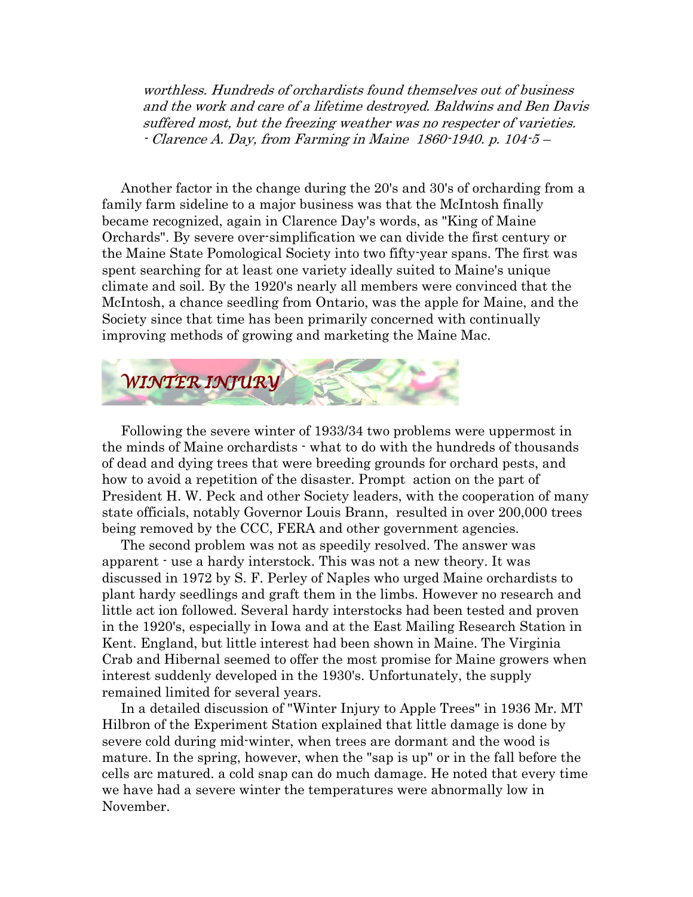worthless. Hundreds of orchardists found themselves out of business and the work and care of a lifetime destroyed. Baldwins and Ben Davis suffered most, but the freezing weather was no respecter of varieties. - Clarence A. Day, from Farming in Maine 1860-1940. p. 104-5 –

 Another factor in the change during the 20's and 30's of orcharding from a family farm sideline to a major business was that the McIntosh finally became recognized, again in Clarence Day's words, as "King of Maine Orchards". By severe over-simplification we can divide the first century or the Maine State Pomological Society into two fifty-year spans. The first was spent searching for at least one variety ideally suited to Maine's unique climate and soil. By the 1920's nearly all members were convinced that the McIntosh, a chance seedling from Ontario, was the apple for Maine, and the Society since that time has been primarily concerned with continually improving methods of growing and marketing the Maine Mac.



 Following the severe winter of 1933/34 two problems were uppermost in the minds of Maine orchardists - what to do with the hundreds of thousands of dead and dying trees that were breeding grounds for orchard pests, and how to avoid a repetition of the disaster. Prompt action on the part of President H. W. Peck and other Society leaders, with the cooperation of many state officials, notably Governor Louis Brann, resulted in over 200,000 trees being removed by the CCC, FERA and other government agencies.

 The second problem was not as speedily resolved. The answer was apparent - use a hardy interstock. This was not a new theory. It was discussed in 1972 by S. F. Perley of Naples who urged Maine orchardists to plant hardy seedlings and graft them in the limbs. However no research and little act ion followed. Several hardy interstocks had been tested and proven in the 1920's, especially in Iowa and at the East Mailing Research Station in Kent. England, but little interest had been shown in Maine. The Virginia Crab and Hibernal seemed to offer the most promise for Maine growers when interest suddenly developed in the 1930's. Unfortunately, the supply remained limited for several years.

 In a detailed discussion of "Winter Injury to Apple Trees" in 1936 Mr. MT Hilbron of the Experiment Station explained that little damage is done by severe cold during mid-winter, when trees are dormant and the wood is mature. In the spring, however, when the "sap is up" or in the fall before the cells arc matured. a cold snap can do much damage. He noted that every time we have had a severe winter the temperatures were abnormally low in November.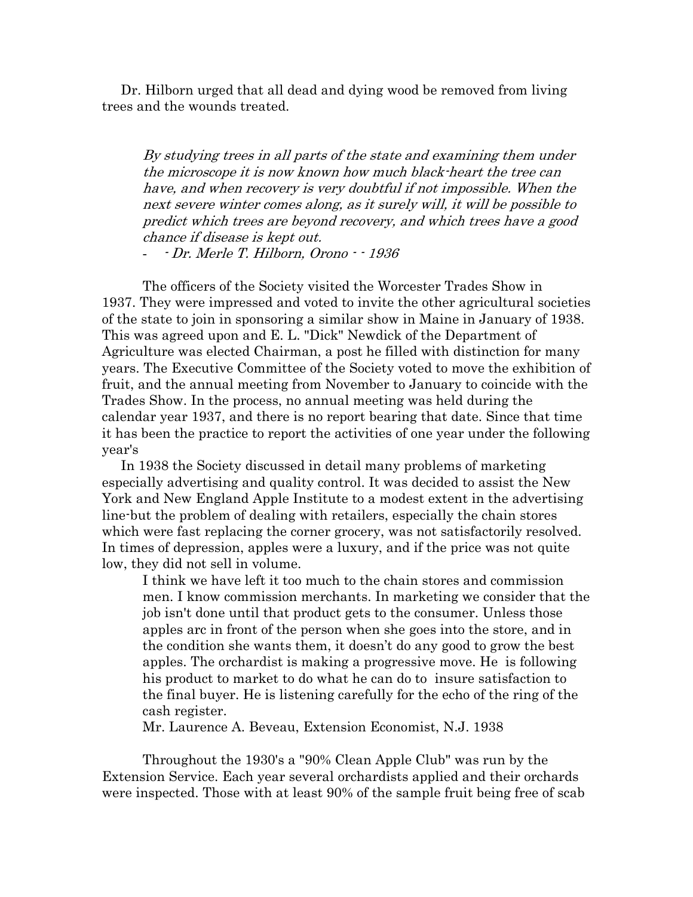Dr. Hilborn urged that all dead and dying wood be removed from living trees and the wounds treated.

By studying trees in all parts of the state and examining them under the microscope it is now known how much black-heart the tree can have, and when recovery is very doubtful if not impossible. When the next severe winter comes along, as it surely will, it will be possible to predict which trees are beyond recovery, and which trees have a good chance if disease is kept out.

- - Dr. Merle T. Hilborn, Orono - - 1936

The officers of the Society visited the Worcester Trades Show in 1937. They were impressed and voted to invite the other agricultural societies of the state to join in sponsoring a similar show in Maine in January of 1938. This was agreed upon and E. L. "Dick" Newdick of the Department of Agriculture was elected Chairman, a post he filled with distinction for many years. The Executive Committee of the Society voted to move the exhibition of fruit, and the annual meeting from November to January to coincide with the Trades Show. In the process, no annual meeting was held during the calendar year 1937, and there is no report bearing that date. Since that time it has been the practice to report the activities of one year under the following year's

 In 1938 the Society discussed in detail many problems of marketing especially advertising and quality control. It was decided to assist the New York and New England Apple Institute to a modest extent in the advertising line-but the problem of dealing with retailers, especially the chain stores which were fast replacing the corner grocery, was not satisfactorily resolved. In times of depression, apples were a luxury, and if the price was not quite low, they did not sell in volume.

I think we have left it too much to the chain stores and commission men. I know commission merchants. In marketing we consider that the job isn't done until that product gets to the consumer. Unless those apples arc in front of the person when she goes into the store, and in the condition she wants them, it doesn't do any good to grow the best apples. The orchardist is making a progressive move. He is following his product to market to do what he can do to insure satisfaction to the final buyer. He is listening carefully for the echo of the ring of the cash register.

Mr. Laurence A. Beveau, Extension Economist, N.J. 1938

 Throughout the 1930's a "90% Clean Apple Club" was run by the Extension Service. Each year several orchardists applied and their orchards were inspected. Those with at least 90% of the sample fruit being free of scab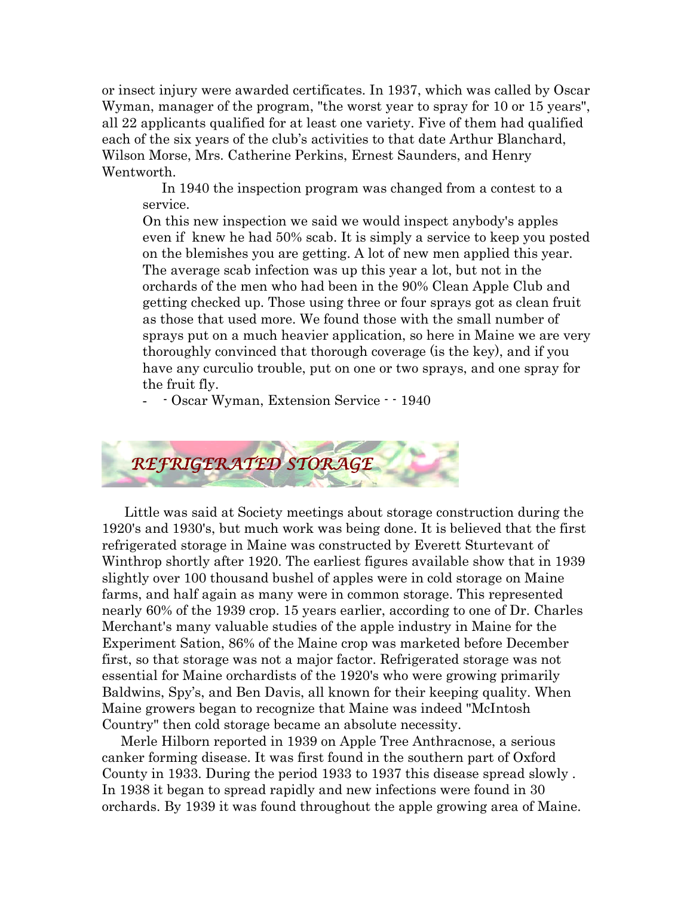or insect injury were awarded certificates. In 1937, which was called by Oscar Wyman, manager of the program, "the worst year to spray for 10 or 15 years", all 22 applicants qualified for at least one variety. Five of them had qualified each of the six years of the club's activities to that date Arthur Blanchard, Wilson Morse, Mrs. Catherine Perkins, Ernest Saunders, and Henry Wentworth.

 In 1940 the inspection program was changed from a contest to a service.

On this new inspection we said we would inspect anybody's apples even if knew he had 50% scab. It is simply a service to keep you posted on the blemishes you are getting. A lot of new men applied this year. The average scab infection was up this year a lot, but not in the orchards of the men who had been in the 90% Clean Apple Club and getting checked up. Those using three or four sprays got as clean fruit as those that used more. We found those with the small number of sprays put on a much heavier application, so here in Maine we are very thoroughly convinced that thorough coverage (is the key), and if you have any curculio trouble, put on one or two sprays, and one spray for the fruit fly.

- - Oscar Wyman, Extension Service - - 1940



 Little was said at Society meetings about storage construction during the 1920's and 1930's, but much work was being done. It is believed that the first refrigerated storage in Maine was constructed by Everett Sturtevant of Winthrop shortly after 1920. The earliest figures available show that in 1939 slightly over 100 thousand bushel of apples were in cold storage on Maine farms, and half again as many were in common storage. This represented nearly 60% of the 1939 crop. 15 years earlier, according to one of Dr. Charles Merchant's many valuable studies of the apple industry in Maine for the Experiment Sation, 86% of the Maine crop was marketed before December first, so that storage was not a major factor. Refrigerated storage was not essential for Maine orchardists of the 1920's who were growing primarily Baldwins, Spy's, and Ben Davis, all known for their keeping quality. When Maine growers began to recognize that Maine was indeed "McIntosh Country" then cold storage became an absolute necessity.

 Merle Hilborn reported in 1939 on Apple Tree Anthracnose, a serious canker forming disease. It was first found in the southern part of Oxford County in 1933. During the period 1933 to 1937 this disease spread slowly . In 1938 it began to spread rapidly and new infections were found in 30 orchards. By 1939 it was found throughout the apple growing area of Maine.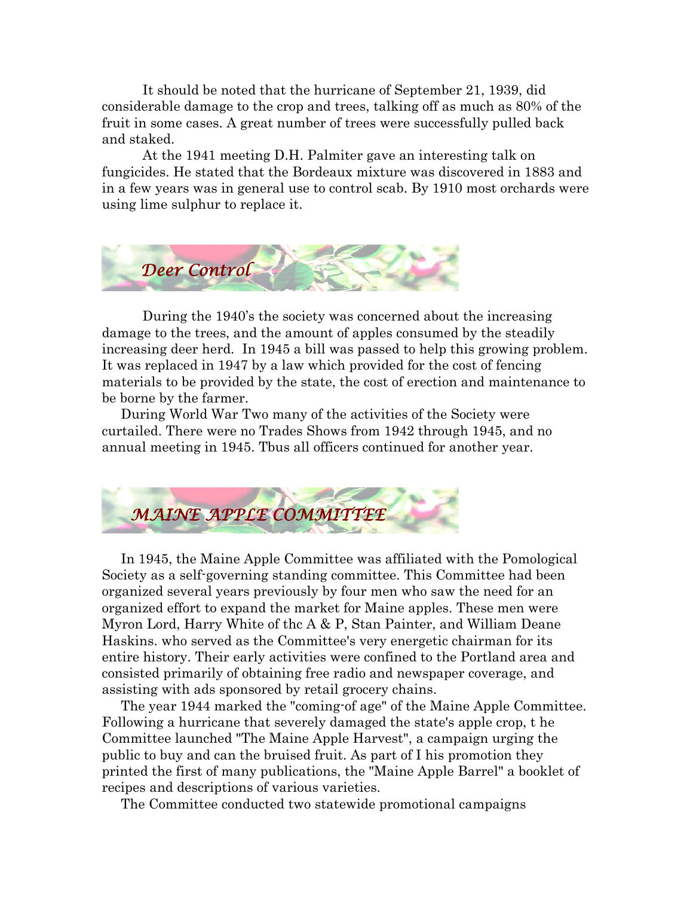It should be noted that the hurricane of September 21, 1939, did considerable damage to the crop and trees, talking off as much as 80% of the fruit in some cases. A great number of trees were successfully pulled back and staked.

 At the 1941 meeting D.H. Palmiter gave an interesting talk on fungicides. He stated that the Bordeaux mixture was discovered in 1883 and in a few years was in general use to control scab. By 1910 most orchards were using lime sulphur to replace it.



 During the 1940's the society was concerned about the increasing damage to the trees, and the amount of apples consumed by the steadily increasing deer herd. In 1945 a bill was passed to help this growing problem. It was replaced in 1947 by a law which provided for the cost of fencing materials to be provided by the state, the cost of erection and maintenance to be borne by the farmer.

 During World War Two many of the activities of the Society were curtailed. There were no Trades Shows from 1942 through 1945, and no annual meeting in 1945. Tbus all officers continued for another year.



 In 1945, the Maine Apple Committee was affiliated with the Pomological Society as a self-governing standing committee. This Committee had been organized several years previously by four men who saw the need for an organized effort to expand the market for Maine apples. These men were Myron Lord, Harry White of thc A & P, Stan Painter, and William Deane Haskins. who served as the Committee's very energetic chairman for its entire history. Their early activities were confined to the Portland area and consisted primarily of obtaining free radio and newspaper coverage, and assisting with ads sponsored by retail grocery chains.

 The year 1944 marked the "coming-of age" of the Maine Apple Committee. Following a hurricane that severely damaged the state's apple crop, t he Committee launched "The Maine Apple Harvest", a campaign urging the public to buy and can the bruised fruit. As part of I his promotion they printed the first of many publications, the "Maine Apple Barrel" a booklet of recipes and descriptions of various varieties.

The Committee conducted two statewide promotional campaigns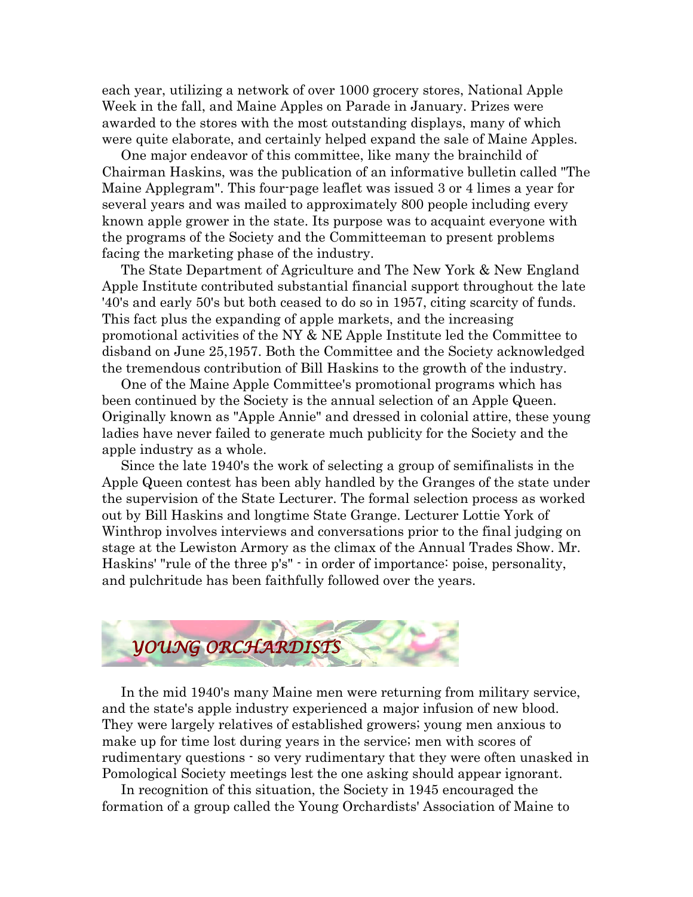each year, utilizing a network of over 1000 grocery stores, National Apple Week in the fall, and Maine Apples on Parade in January. Prizes were awarded to the stores with the most outstanding displays, many of which were quite elaborate, and certainly helped expand the sale of Maine Apples.

 One major endeavor of this committee, like many the brainchild of Chairman Haskins, was the publication of an informative bulletin called "The Maine Applegram". This four-page leaflet was issued 3 or 4 limes a year for several years and was mailed to approximately 800 people including every known apple grower in the state. Its purpose was to acquaint everyone with the programs of the Society and the Committeeman to present problems facing the marketing phase of the industry.

 The State Department of Agriculture and The New York & New England Apple Institute contributed substantial financial support throughout the late '40's and early 50's but both ceased to do so in 1957, citing scarcity of funds. This fact plus the expanding of apple markets, and the increasing promotional activities of the NY & NE Apple Institute led the Committee to disband on June 25,1957. Both the Committee and the Society acknowledged the tremendous contribution of Bill Haskins to the growth of the industry.

 One of the Maine Apple Committee's promotional programs which has been continued by the Society is the annual selection of an Apple Queen. Originally known as "Apple Annie" and dressed in colonial attire, these young ladies have never failed to generate much publicity for the Society and the apple industry as a whole.

 Since the late 1940's the work of selecting a group of semifinalists in the Apple Queen contest has been ably handled by the Granges of the state under the supervision of the State Lecturer. The formal selection process as worked out by Bill Haskins and longtime State Grange. Lecturer Lottie York of Winthrop involves interviews and conversations prior to the final judging on stage at the Lewiston Armory as the climax of the Annual Trades Show. Mr. Haskins' "rule of the three p's" - in order of importance: poise, personality, and pulchritude has been faithfully followed over the years.



 In the mid 1940's many Maine men were returning from military service, and the state's apple industry experienced a major infusion of new blood. They were largely relatives of established growers; young men anxious to make up for time lost during years in the service; men with scores of rudimentary questions - so very rudimentary that they were often unasked in Pomological Society meetings lest the one asking should appear ignorant.

 In recognition of this situation, the Society in 1945 encouraged the formation of a group called the Young Orchardists' Association of Maine to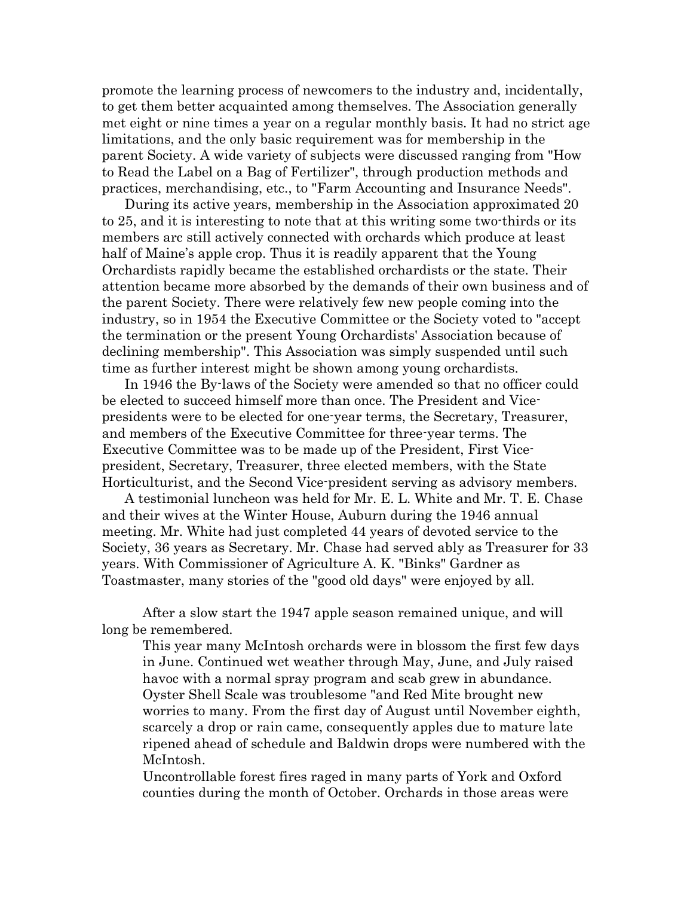promote the learning process of newcomers to the industry and, incidentally, to get them better acquainted among themselves. The Association generally met eight or nine times a year on a regular monthly basis. It had no strict age limitations, and the only basic requirement was for membership in the parent Society. A wide variety of subjects were discussed ranging from "How to Read the Label on a Bag of Fertilizer", through production methods and practices, merchandising, etc., to "Farm Accounting and Insurance Needs".

 During its active years, membership in the Association approximated 20 to 25, and it is interesting to note that at this writing some two-thirds or its members arc still actively connected with orchards which produce at least half of Maine's apple crop. Thus it is readily apparent that the Young Orchardists rapidly became the established orchardists or the state. Their attention became more absorbed by the demands of their own business and of the parent Society. There were relatively few new people coming into the industry, so in 1954 the Executive Committee or the Society voted to "accept the termination or the present Young Orchardists' Association because of declining membership". This Association was simply suspended until such time as further interest might be shown among young orchardists.

 In 1946 the By-laws of the Society were amended so that no officer could be elected to succeed himself more than once. The President and Vicepresidents were to be elected for one-year terms, the Secretary, Treasurer, and members of the Executive Committee for three-year terms. The Executive Committee was to be made up of the President, First Vicepresident, Secretary, Treasurer, three elected members, with the State Horticulturist, and the Second Vice-president serving as advisory members.

 A testimonial luncheon was held for Mr. E. L. White and Mr. T. E. Chase and their wives at the Winter House, Auburn during the 1946 annual meeting. Mr. White had just completed 44 years of devoted service to the Society, 36 years as Secretary. Mr. Chase had served ably as Treasurer for 33 years. With Commissioner of Agriculture A. K. "Binks" Gardner as Toastmaster, many stories of the "good old days" were enjoyed by all.

After a slow start the 1947 apple season remained unique, and will long be remembered.

This year many McIntosh orchards were in blossom the first few days in June. Continued wet weather through May, June, and July raised havoc with a normal spray program and scab grew in abundance. Oyster Shell Scale was troublesome "and Red Mite brought new worries to many. From the first day of August until November eighth, scarcely a drop or rain came, consequently apples due to mature late ripened ahead of schedule and Baldwin drops were numbered with the McIntosh.

Uncontrollable forest fires raged in many parts of York and Oxford counties during the month of October. Orchards in those areas were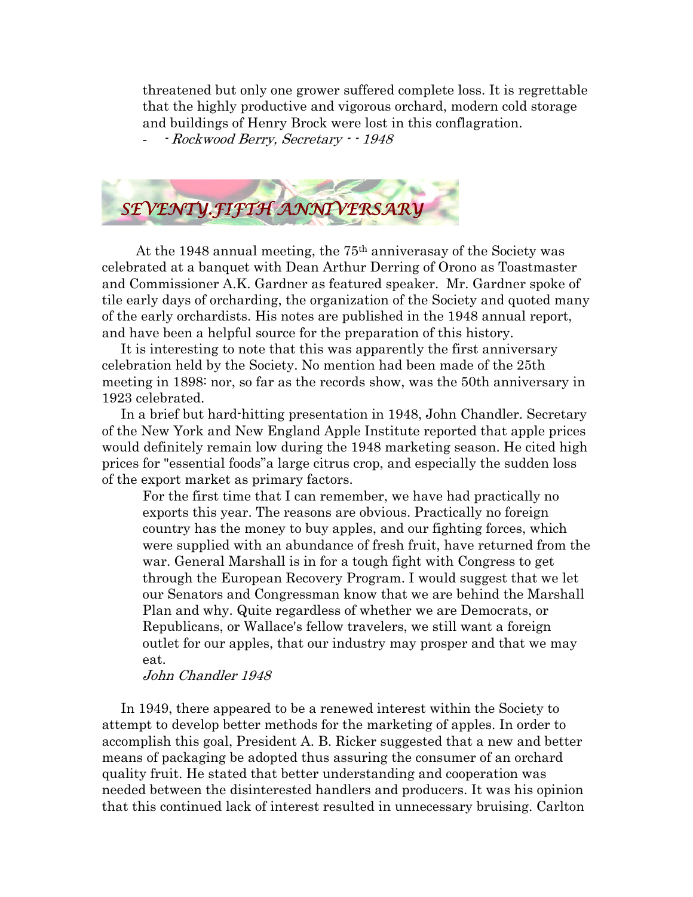threatened but only one grower suffered complete loss. It is regrettable that the highly productive and vigorous orchard, modern cold storage and buildings of Henry Brock were lost in this conflagration.

- - Rockwood Berry, Secretary - - 1948



At the 1948 annual meeting, the  $75<sup>th</sup>$  anniverasay of the Society was celebrated at a banquet with Dean Arthur Derring of Orono as Toastmaster and Commissioner A.K. Gardner as featured speaker. Mr. Gardner spoke of tile early days of orcharding, the organization of the Society and quoted many of the early orchardists. His notes are published in the 1948 annual report, and have been a helpful source for the preparation of this history.

 It is interesting to note that this was apparently the first anniversary celebration held by the Society. No mention had been made of the 25th meeting in 1898: nor, so far as the records show, was the 50th anniversary in 1923 celebrated.

 In a brief but hard-hitting presentation in 1948, John Chandler. Secretary of the New York and New England Apple Institute reported that apple prices would definitely remain low during the 1948 marketing season. He cited high prices for "essential foods"a large citrus crop, and especially the sudden loss of the export market as primary factors.

For the first time that I can remember, we have had practically no exports this year. The reasons are obvious. Practically no foreign country has the money to buy apples, and our fighting forces, which were supplied with an abundance of fresh fruit, have returned from the war. General Marshall is in for a tough fight with Congress to get through the European Recovery Program. I would suggest that we let our Senators and Congressman know that we are behind the Marshall Plan and why. Quite regardless of whether we are Democrats, or Republicans, or Wallace's fellow travelers, we still want a foreign outlet for our apples, that our industry may prosper and that we may eat.

# John Chandler 1948

 In 1949, there appeared to be a renewed interest within the Society to attempt to develop better methods for the marketing of apples. In order to accomplish this goal, President A. B. Ricker suggested that a new and better means of packaging be adopted thus assuring the consumer of an orchard quality fruit. He stated that better understanding and cooperation was needed between the disinterested handlers and producers. It was his opinion that this continued lack of interest resulted in unnecessary bruising. Carlton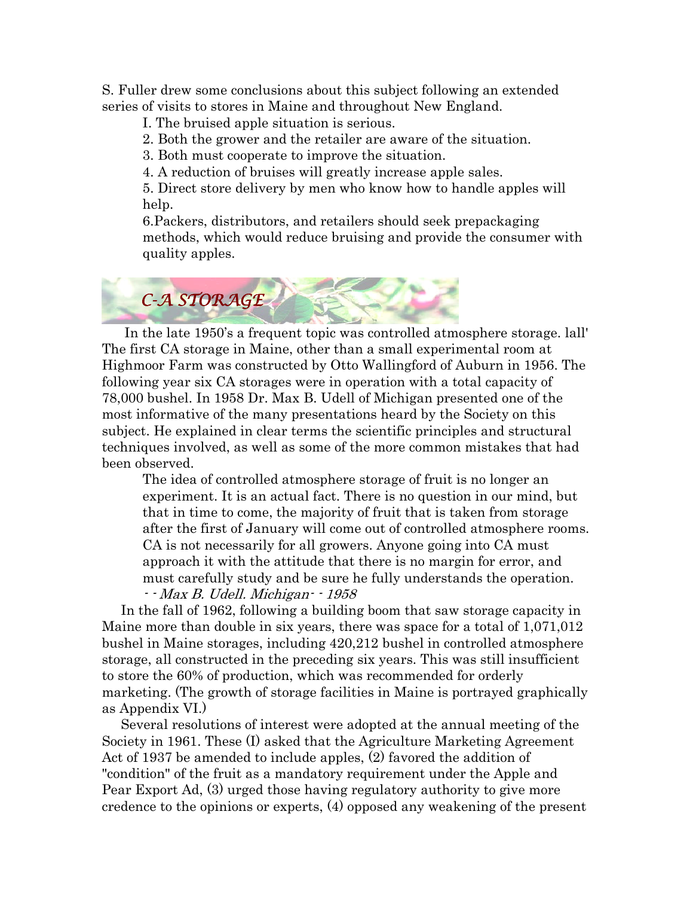S. Fuller drew some conclusions about this subject following an extended series of visits to stores in Maine and throughout New England.

I. The bruised apple situation is serious.

2. Both the grower and the retailer are aware of the situation.

3. Both must cooperate to improve the situation.

4. A reduction of bruises will greatly increase apple sales.

5. Direct store delivery by men who know how to handle apples will help.

6.Packers, distributors, and retailers should seek prepackaging methods, which would reduce bruising and provide the consumer with quality apples.



 In the late 1950's a frequent topic was controlled atmosphere storage. lall' The first CA storage in Maine, other than a small experimental room at Highmoor Farm was constructed by Otto Wallingford of Auburn in 1956. The following year six CA storages were in operation with a total capacity of 78,000 bushel. In 1958 Dr. Max B. Udell of Michigan presented one of the most informative of the many presentations heard by the Society on this subject. He explained in clear terms the scientific principles and structural techniques involved, as well as some of the more common mistakes that had been observed.

The idea of controlled atmosphere storage of fruit is no longer an experiment. It is an actual fact. There is no question in our mind, but that in time to come, the majority of fruit that is taken from storage after the first of January will come out of controlled atmosphere rooms. CA is not necessarily for all growers. Anyone going into CA must approach it with the attitude that there is no margin for error, and must carefully study and be sure he fully understands the operation. - - Max B. Udell. Michigan- - 1958

 In the fall of 1962, following a building boom that saw storage capacity in Maine more than double in six years, there was space for a total of 1,071,012 bushel in Maine storages, including 420,212 bushel in controlled atmosphere storage, all constructed in the preceding six years. This was still insufficient to store the 60% of production, which was recommended for orderly marketing. (The growth of storage facilities in Maine is portrayed graphically as Appendix VI.)

 Several resolutions of interest were adopted at the annual meeting of the Society in 1961. These (I) asked that the Agriculture Marketing Agreement Act of 1937 be amended to include apples, (2) favored the addition of "condition" of the fruit as a mandatory requirement under the Apple and Pear Export Ad, (3) urged those having regulatory authority to give more credence to the opinions or experts, (4) opposed any weakening of the present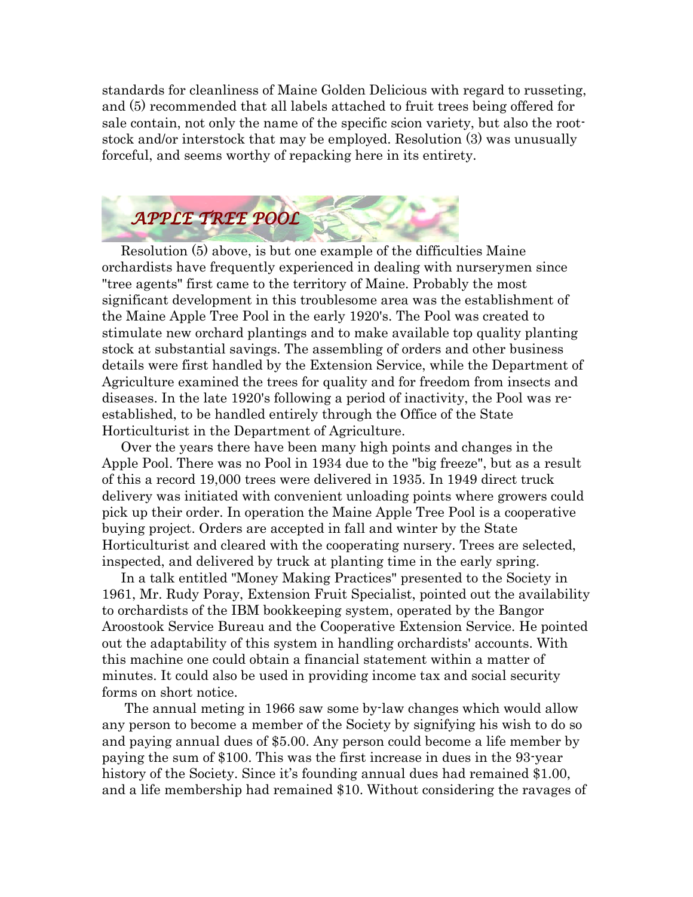standards for cleanliness of Maine Golden Delicious with regard to russeting, and (5) recommended that all labels attached to fruit trees being offered for sale contain, not only the name of the specific scion variety, but also the rootstock and/or interstock that may be employed. Resolution (3) was unusually forceful, and seems worthy of repacking here in its entirety.



 Resolution (5) above, is but one example of the difficulties Maine orchardists have frequently experienced in dealing with nurserymen since "tree agents" first came to the territory of Maine. Probably the most significant development in this troublesome area was the establishment of the Maine Apple Tree Pool in the early 1920's. The Pool was created to stimulate new orchard plantings and to make available top quality planting stock at substantial savings. The assembling of orders and other business details were first handled by the Extension Service, while the Department of Agriculture examined the trees for quality and for freedom from insects and diseases. In the late 1920's following a period of inactivity, the Pool was reestablished, to be handled entirely through the Office of the State Horticulturist in the Department of Agriculture.

 Over the years there have been many high points and changes in the Apple Pool. There was no Pool in 1934 due to the "big freeze", but as a result of this a record 19,000 trees were delivered in 1935. In 1949 direct truck delivery was initiated with convenient unloading points where growers could pick up their order. In operation the Maine Apple Tree Pool is a cooperative buying project. Orders are accepted in fall and winter by the State Horticulturist and cleared with the cooperating nursery. Trees are selected, inspected, and delivered by truck at planting time in the early spring.

 In a talk entitled "Money Making Practices" presented to the Society in 1961, Mr. Rudy Poray, Extension Fruit Specialist, pointed out the availability to orchardists of the IBM bookkeeping system, operated by the Bangor Aroostook Service Bureau and the Cooperative Extension Service. He pointed out the adaptability of this system in handling orchardists' accounts. With this machine one could obtain a financial statement within a matter of minutes. It could also be used in providing income tax and social security forms on short notice.

 The annual meting in 1966 saw some by-law changes which would allow any person to become a member of the Society by signifying his wish to do so and paying annual dues of \$5.00. Any person could become a life member by paying the sum of \$100. This was the first increase in dues in the 93-year history of the Society. Since it's founding annual dues had remained \$1.00, and a life membership had remained \$10. Without considering the ravages of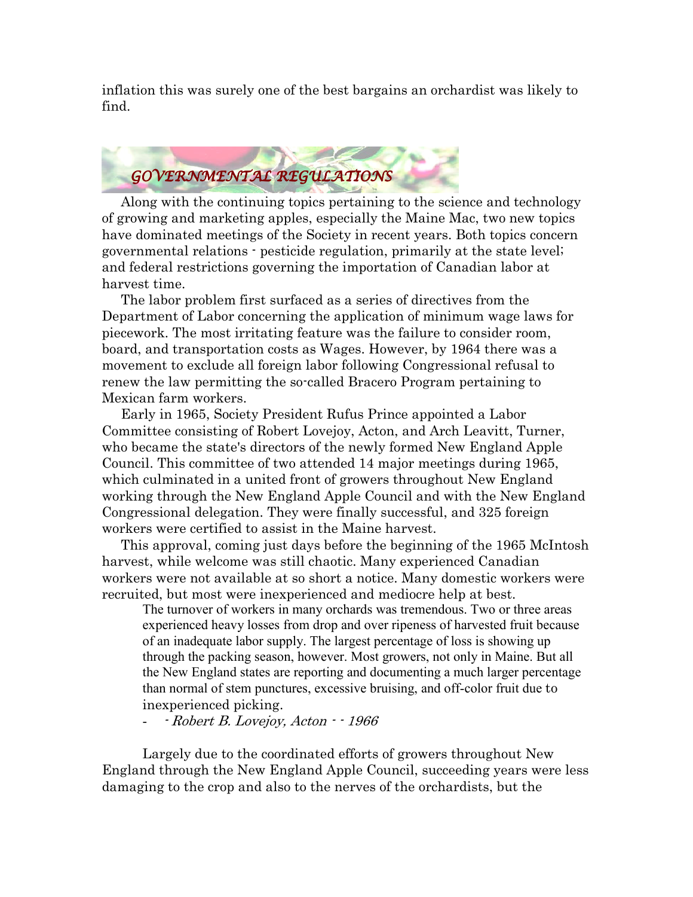inflation this was surely one of the best bargains an orchardist was likely to find.



 Along with the continuing topics pertaining to the science and technology of growing and marketing apples, especially the Maine Mac, two new topics have dominated meetings of the Society in recent years. Both topics concern governmental relations - pesticide regulation, primarily at the state level; and federal restrictions governing the importation of Canadian labor at harvest time.

 The labor problem first surfaced as a series of directives from the Department of Labor concerning the application of minimum wage laws for piecework. The most irritating feature was the failure to consider room, board, and transportation costs as Wages. However, by 1964 there was a movement to exclude all foreign labor following Congressional refusal to renew the law permitting the so-called Bracero Program pertaining to Mexican farm workers.

 Early in 1965, Society President Rufus Prince appointed a Labor Committee consisting of Robert Lovejoy, Acton, and Arch Leavitt, Turner, who became the state's directors of the newly formed New England Apple Council. This committee of two attended 14 major meetings during 1965, which culminated in a united front of growers throughout New England working through the New England Apple Council and with the New England Congressional delegation. They were finally successful, and 325 foreign workers were certified to assist in the Maine harvest.

 This approval, coming just days before the beginning of the 1965 McIntosh harvest, while welcome was still chaotic. Many experienced Canadian workers were not available at so short a notice. Many domestic workers were recruited, but most were inexperienced and mediocre help at best.

The turnover of workers in many orchards was tremendous. Two or three areas experienced heavy losses from drop and over ripeness of harvested fruit because of an inadequate labor supply. The largest percentage of loss is showing up through the packing season, however. Most growers, not only in Maine. But all the New England states are reporting and documenting a much larger percentage than normal of stem punctures, excessive bruising, and off-color fruit due to inexperienced picking.

- Robert B. Lovejoy, Acton  $-1966$ 

 Largely due to the coordinated efforts of growers throughout New England through the New England Apple Council, succeeding years were less damaging to the crop and also to the nerves of the orchardists, but the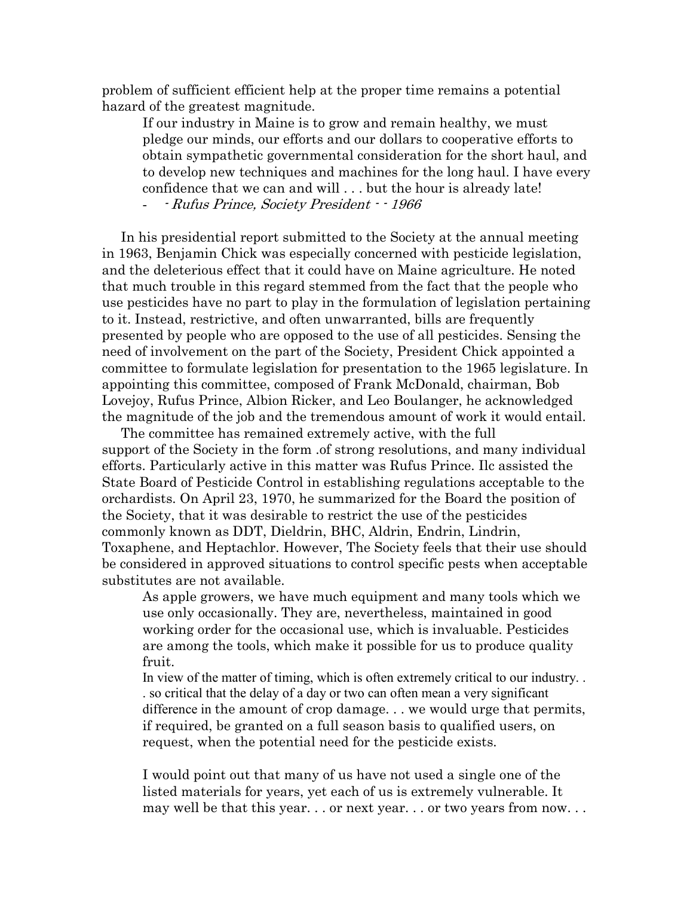problem of sufficient efficient help at the proper time remains a potential hazard of the greatest magnitude.

If our industry in Maine is to grow and remain healthy, we must pledge our minds, our efforts and our dollars to cooperative efforts to obtain sympathetic governmental consideration for the short haul, and to develop new techniques and machines for the long haul. I have every confidence that we can and will . . . but the hour is already late!

- - Rufus Prince, Society President - - 1966

 In his presidential report submitted to the Society at the annual meeting in 1963, Benjamin Chick was especially concerned with pesticide legislation, and the deleterious effect that it could have on Maine agriculture. He noted that much trouble in this regard stemmed from the fact that the people who use pesticides have no part to play in the formulation of legislation pertaining to it. Instead, restrictive, and often unwarranted, bills are frequently presented by people who are opposed to the use of all pesticides. Sensing the need of involvement on the part of the Society, President Chick appointed a committee to formulate legislation for presentation to the 1965 legislature. In appointing this committee, composed of Frank McDonald, chairman, Bob Lovejoy, Rufus Prince, Albion Ricker, and Leo Boulanger, he acknowledged the magnitude of the job and the tremendous amount of work it would entail.

 The committee has remained extremely active, with the full support of the Society in the form .of strong resolutions, and many individual efforts. Particularly active in this matter was Rufus Prince. Ilc assisted the State Board of Pesticide Control in establishing regulations acceptable to the orchardists. On April 23, 1970, he summarized for the Board the position of the Society, that it was desirable to restrict the use of the pesticides commonly known as DDT, Dieldrin, BHC, Aldrin, Endrin, Lindrin, Toxaphene, and Heptachlor. However, The Society feels that their use should be considered in approved situations to control specific pests when acceptable substitutes are not available.

As apple growers, we have much equipment and many tools which we use only occasionally. They are, nevertheless, maintained in good working order for the occasional use, which is invaluable. Pesticides are among the tools, which make it possible for us to produce quality fruit.

In view of the matter of timing, which is often extremely critical to our industry. . . so critical that the delay of a day or two can often mean a very significant difference in the amount of crop damage. . . we would urge that permits, if required, be granted on a full season basis to qualified users, on request, when the potential need for the pesticide exists.

I would point out that many of us have not used a single one of the listed materials for years, yet each of us is extremely vulnerable. It may well be that this year. . . or next year. . . or two years from now. . .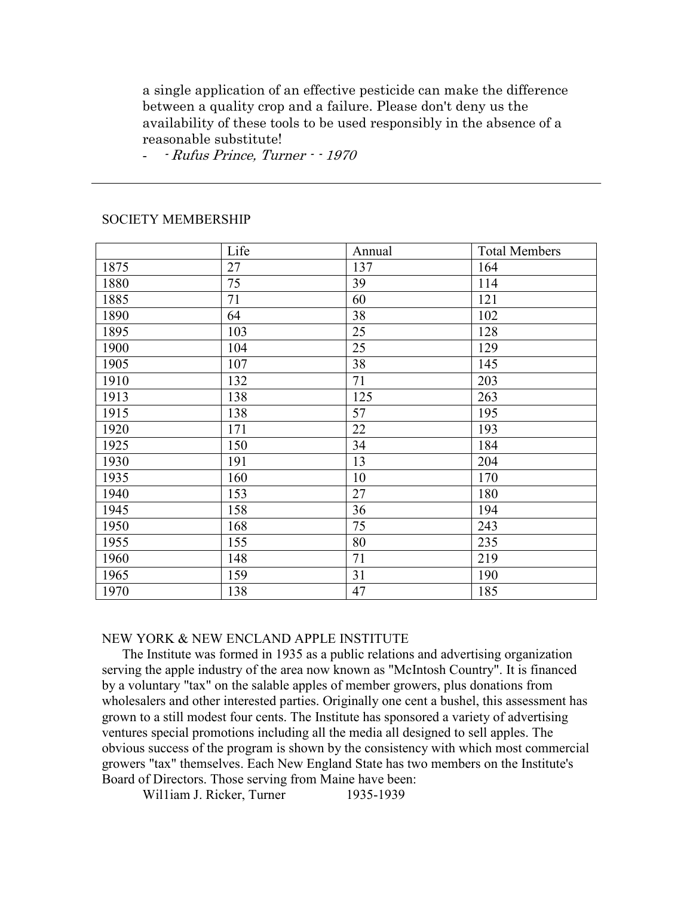a single application of an effective pesticide can make the difference between a quality crop and a failure. Please don't deny us the availability of these tools to be used responsibly in the absence of a reasonable substitute!

- - Rufus Prince, Turner - - 1970

#### SOCIETY MEMBERSHIP

I

|      | Life | Annual | <b>Total Members</b> |
|------|------|--------|----------------------|
| 1875 | 27   | 137    | 164                  |
| 1880 | 75   | 39     | 114                  |
| 1885 | 71   | 60     | 121                  |
| 1890 | 64   | 38     | 102                  |
| 1895 | 103  | 25     | 128                  |
| 1900 | 104  | 25     | 129                  |
| 1905 | 107  | 38     | 145                  |
| 1910 | 132  | 71     | 203                  |
| 1913 | 138  | 125    | 263                  |
| 1915 | 138  | 57     | 195                  |
| 1920 | 171  | 22     | 193                  |
| 1925 | 150  | 34     | 184                  |
| 1930 | 191  | 13     | 204                  |
| 1935 | 160  | 10     | 170                  |
| 1940 | 153  | 27     | 180                  |
| 1945 | 158  | 36     | 194                  |
| 1950 | 168  | 75     | 243                  |
| 1955 | 155  | 80     | 235                  |
| 1960 | 148  | 71     | 219                  |
| 1965 | 159  | 31     | 190                  |
| 1970 | 138  | 47     | 185                  |

### NEW YORK & NEW ENCLAND APPLE INSTITUTE

 The Institute was formed in 1935 as a public relations and advertising organization serving the apple industry of the area now known as "McIntosh Country". It is financed by a voluntary "tax" on the salable apples of member growers, plus donations from wholesalers and other interested parties. Originally one cent a bushel, this assessment has grown to a still modest four cents. The Institute has sponsored a variety of advertising ventures special promotions including all the media all designed to sell apples. The obvious success of the program is shown by the consistency with which most commercial growers "tax" themselves. Each New England State has two members on the Institute's Board of Directors. Those serving from Maine have been:

William J. Ricker, Turner 1935-1939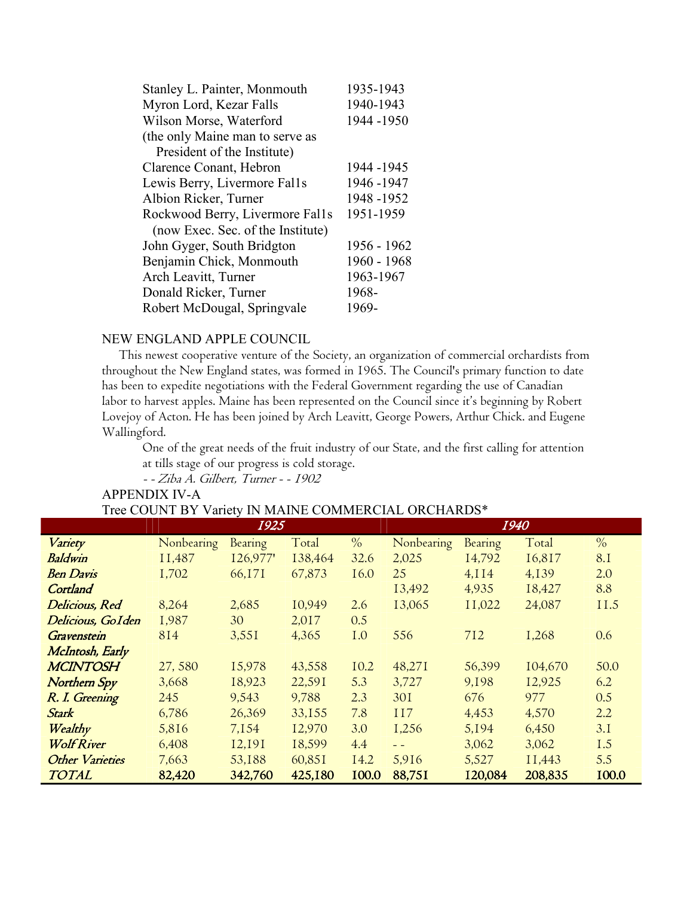| Stanley L. Painter, Monmouth      | 1935-1943   |
|-----------------------------------|-------------|
| Myron Lord, Kezar Falls           | 1940-1943   |
| Wilson Morse, Waterford           | 1944 -1950  |
| (the only Maine man to serve as   |             |
| President of the Institute)       |             |
| Clarence Conant, Hebron           | 1944-1945   |
| Lewis Berry, Livermore Falls      | 1946-1947   |
| Albion Ricker, Turner             | 1948-1952   |
| Rockwood Berry, Livermore Fal1s   | 1951-1959   |
| (now Exec. Sec. of the Institute) |             |
| John Gyger, South Bridgton        | 1956 - 1962 |
| Benjamin Chick, Monmouth          | 1960 - 1968 |
| Arch Leavitt, Turner              | 1963-1967   |
| Donald Ricker, Turner             | 1968-       |
| Robert McDougal, Springvale       | 1969-       |

### NEW ENGLAND APPLE COUNCIL

 This newest cooperative venture of the Society, an organization of commercial orchardists from throughout the New England states, was formed in 1965. The Council's primary function to date has been to expedite negotiations with the Federal Government regarding the use of Canadian labor to harvest apples. Maine has been represented on the Council since it's beginning by Robert Lovejoy of Acton. He has been joined by Arch Leavitt, George Powers, Arthur Chick. and Eugene Wallingford.

One of the great needs of the fruit industry of our State, and the first calling for attention at tills stage of our progress is cold storage.

- - Ziba A. Gilbert, Turner - - 1902

### APPENDIX IV-A Tree COUNT BY Variety IN MAINE COMMERCIAL ORCHARDS\*

|                     | 1925       |          |         |               | 1940       |         |         |               |
|---------------------|------------|----------|---------|---------------|------------|---------|---------|---------------|
| Variety             | Nonbearing | Bearing  | Total   | $\frac{0}{0}$ | Nonbearing | Bearing | Total   | $\frac{0}{0}$ |
| Baldwin             | II,487     | 126,977' | 138,464 | 32.6          | 2,025      | 14,792  | 16,817  | <b>8.1</b>    |
| <b>Ben Davis</b>    | I,702      | 66,171   | 67,873  | 16.0          | 25         | 4,114   | 4,139   | 2.0           |
| Cortland            |            |          |         |               | 13,492     | 4,935   | 18,427  | 8.8           |
| Delicious, Red      | 8,264      | 2,685    | 10,949  | 2.6           | 13,065     | II,022  | 24,087  | <b>II.5</b>   |
| Delicious, GoIden   | I,987      | 30       | 2,017   | 0.5           |            |         |         |               |
| Gravenstein         | 814        | 3,551    | 4,365   | <b>1.0</b>    | 556        | 712     | I,268   | 0.6           |
| McIntosh, Early     |            |          |         |               |            |         |         |               |
| <b>MCINTOSH</b>     | 27,580     | 15,978   | 43,558  | 10.2          | 48,271     | 56,399  | 104,670 | 50.0          |
| <b>Northern Spy</b> | 3,668      | 18,923   | 22,591  | 5.3           | 3,727      | 9,198   | 12,925  | 6.2           |
| R. I. Greening      | 245        | 9,543    | 9,788   | 2.3           | 301        | 676     | 977     | 0.5           |
| <b>Stark</b>        | 6,786      | 26,369   | 33,155  | 7.8           | 117        | 4,453   | 4,570   | 2.2           |
| Wealthy             | 5,816      | 7,154    | 12,970  | 3.0           | 1,256      | 5,194   | 6,450   | 3.1           |
| <b>Wolf River</b>   | 6,408      | 12,191   | 18,599  | 4.4           | $=$ $=$    | 3,062   | 3,062   | 1.5           |
| Other Varieties     | 7,663      | 53,188   | 60,851  | 14.2          | 5,916      | 5,527   | II,443  | 5.5           |
| <b>TOTAL</b>        | 82,420     | 342,760  | 425,180 | 100.0         | 88,751     | 120,084 | 208,835 | 100.0         |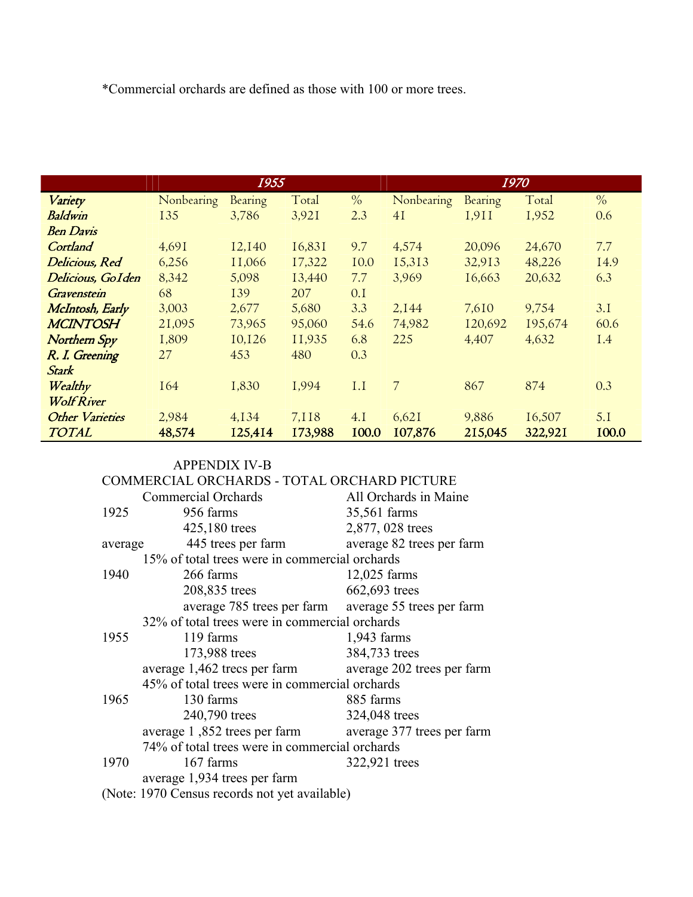\*Commercial orchards are defined as those with 100 or more trees.

|                        |            | 1955    |         |               |            | 1970    |         |               |
|------------------------|------------|---------|---------|---------------|------------|---------|---------|---------------|
| Variety                | Nonbearing | Bearing | Total   | $\frac{0}{0}$ | Nonbearing | Bearing | Total   | $\frac{0}{0}$ |
| <b>Baldwin</b>         | 135        | 3,786   | 3,921   | 2.3           | 4I         | 1.911   | 1,952   | 0.6           |
| <b>Ben Davis</b>       |            |         |         |               |            |         |         |               |
| Cortland               | 4,691      | 12,140  | 16,831  | 9.7           | 4,574      | 20,096  | 24,670  | 7.7           |
| Delicious, Red         | 6,256      | II,066  | 17,322  | 10.0          | 15,313     | 32,913  | 48,226  | 14.9          |
| Delicious, GoIden      | 8,342      | 5,098   | 13,440  | 7.7           | 3,969      | 16,663  | 20,632  | 6.3           |
| Gravenstein            | 68         | 139     | 207     | 0.1           |            |         |         |               |
| McIntosh, Early        | 3,003      | 2,677   | 5,680   | 3.3           | 2,144      | 7,610   | 9,754   | 3.1           |
| <b>MCINTOSH</b>        | 21,095     | 73,965  | 95,060  | 54.6          | 74,982     | 120,692 | 195,674 | 60.6          |
| <b>Northern Spy</b>    | I,809      | 10,126  | II,935  | 6.8           | 225        | 4,407   | 4,632   | <b>I.4</b>    |
| R. I. Greening         | 27         | 453     | 480     | 0.3           |            |         |         |               |
| <b>Stark</b>           |            |         |         |               |            |         |         |               |
| Wealthy                | <b>I64</b> | 1,830   | 1,994   | I.I           | 7          | 867     | 874     | 0.3           |
| <b>Wolf River</b>      |            |         |         |               |            |         |         |               |
| <b>Other Varieties</b> | 2,984      | 4,134   | 7,118   | 4.1           | 6,621      | 9,886   | 16,507  | 5.1           |
| <b>TOTAL</b>           | 48,574     | 125,414 | 173,988 | 100.0         | 107,876    | 215,045 | 322,921 | 100.0         |

#### APPENDIX IV-B

| COMMERCIAL ORCHARDS - TOTAL ORCHARD PICTURE    |                                                      |                            |  |  |  |
|------------------------------------------------|------------------------------------------------------|----------------------------|--|--|--|
|                                                | <b>Commercial Orchards</b>                           | All Orchards in Maine      |  |  |  |
| 1925                                           | 956 farms                                            | 35,561 farms               |  |  |  |
|                                                | 425,180 trees                                        | 2,877, 028 trees           |  |  |  |
| 445 trees per farm<br>average                  |                                                      | average 82 trees per farm  |  |  |  |
|                                                | 15% of total trees were in commercial orchards       |                            |  |  |  |
| 1940                                           | 266 farms                                            | $12,025$ farms             |  |  |  |
|                                                | 208,835 trees                                        | 662,693 trees              |  |  |  |
|                                                | average 785 trees per farm average 55 trees per farm |                            |  |  |  |
|                                                | 32% of total trees were in commercial orchards       |                            |  |  |  |
| 1955                                           | 119 farms                                            | $1,943$ farms              |  |  |  |
|                                                | 173,988 trees                                        | 384,733 trees              |  |  |  |
|                                                | average 1,462 trecs per farm                         | average 202 trees per farm |  |  |  |
| 45% of total trees were in commercial orchards |                                                      |                            |  |  |  |
| 1965                                           | 130 farms                                            | 885 farms                  |  |  |  |
|                                                | 240,790 trees                                        | 324,048 trees              |  |  |  |
|                                                | average 1,852 trees per farm                         | average 377 trees per farm |  |  |  |
| 74% of total trees were in commercial orchards |                                                      |                            |  |  |  |
| 1970                                           | 167 farms                                            | 322,921 trees              |  |  |  |
| average 1,934 trees per farm                   |                                                      |                            |  |  |  |
| (Note: 1970 Census records not yet available)  |                                                      |                            |  |  |  |